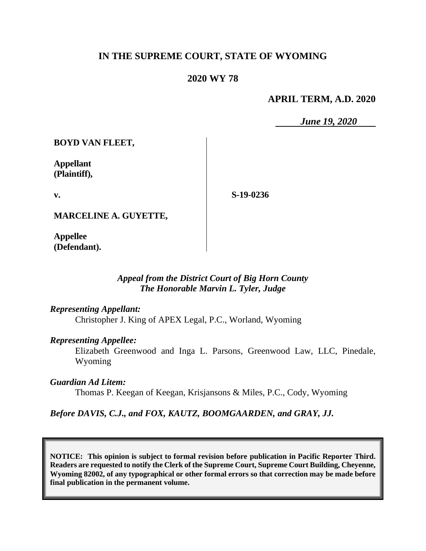### **IN THE SUPREME COURT, STATE OF WYOMING**

### **2020 WY 78**

#### **APRIL TERM, A.D. 2020**

*June 19, 2020*

**BOYD VAN FLEET,**

**Appellant (Plaintiff),**

**v.**

**S-19-0236**

**MARCELINE A. GUYETTE,**

**Appellee (Defendant).**

#### *Appeal from the District Court of Big Horn County The Honorable Marvin L. Tyler, Judge*

#### *Representing Appellant:*

Christopher J. King of APEX Legal, P.C., Worland, Wyoming

#### *Representing Appellee:*

Elizabeth Greenwood and Inga L. Parsons, Greenwood Law, LLC, Pinedale, Wyoming

*Guardian Ad Litem:*

Thomas P. Keegan of Keegan, Krisjansons & Miles, P.C., Cody, Wyoming

#### *Before DAVIS, C.J., and FOX, KAUTZ, BOOMGAARDEN, and GRAY, JJ.*

**NOTICE: This opinion is subject to formal revision before publication in Pacific Reporter Third. Readers are requested to notify the Clerk of the Supreme Court, Supreme Court Building, Cheyenne, Wyoming 82002, of any typographical or other formal errors so that correction may be made before final publication in the permanent volume.**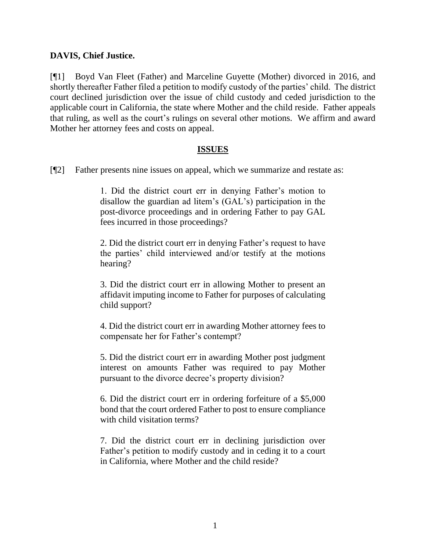#### **DAVIS, Chief Justice.**

[¶1] Boyd Van Fleet (Father) and Marceline Guyette (Mother) divorced in 2016, and shortly thereafter Father filed a petition to modify custody of the parties' child. The district court declined jurisdiction over the issue of child custody and ceded jurisdiction to the applicable court in California, the state where Mother and the child reside. Father appeals that ruling, as well as the court's rulings on several other motions. We affirm and award Mother her attorney fees and costs on appeal.

#### **ISSUES**

[¶2] Father presents nine issues on appeal, which we summarize and restate as:

1. Did the district court err in denying Father's motion to disallow the guardian ad litem's (GAL's) participation in the post-divorce proceedings and in ordering Father to pay GAL fees incurred in those proceedings?

2. Did the district court err in denying Father's request to have the parties' child interviewed and/or testify at the motions hearing?

3. Did the district court err in allowing Mother to present an affidavit imputing income to Father for purposes of calculating child support?

4. Did the district court err in awarding Mother attorney fees to compensate her for Father's contempt?

5. Did the district court err in awarding Mother post judgment interest on amounts Father was required to pay Mother pursuant to the divorce decree's property division?

6. Did the district court err in ordering forfeiture of a \$5,000 bond that the court ordered Father to post to ensure compliance with child visitation terms?

7. Did the district court err in declining jurisdiction over Father's petition to modify custody and in ceding it to a court in California, where Mother and the child reside?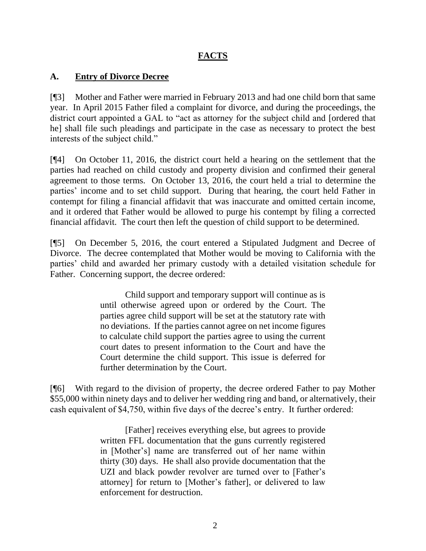## **FACTS**

### **A. Entry of Divorce Decree**

[¶3] Mother and Father were married in February 2013 and had one child born that same year. In April 2015 Father filed a complaint for divorce, and during the proceedings, the district court appointed a GAL to "act as attorney for the subject child and [ordered that he] shall file such pleadings and participate in the case as necessary to protect the best interests of the subject child."

[¶4] On October 11, 2016, the district court held a hearing on the settlement that the parties had reached on child custody and property division and confirmed their general agreement to those terms. On October 13, 2016, the court held a trial to determine the parties' income and to set child support. During that hearing, the court held Father in contempt for filing a financial affidavit that was inaccurate and omitted certain income, and it ordered that Father would be allowed to purge his contempt by filing a corrected financial affidavit. The court then left the question of child support to be determined.

[¶5] On December 5, 2016, the court entered a Stipulated Judgment and Decree of Divorce. The decree contemplated that Mother would be moving to California with the parties' child and awarded her primary custody with a detailed visitation schedule for Father. Concerning support, the decree ordered:

> Child support and temporary support will continue as is until otherwise agreed upon or ordered by the Court. The parties agree child support will be set at the statutory rate with no deviations. If the parties cannot agree on net income figures to calculate child support the parties agree to using the current court dates to present information to the Court and have the Court determine the child support. This issue is deferred for further determination by the Court.

[¶6] With regard to the division of property, the decree ordered Father to pay Mother \$55,000 within ninety days and to deliver her wedding ring and band, or alternatively, their cash equivalent of \$4,750, within five days of the decree's entry. It further ordered:

> [Father] receives everything else, but agrees to provide written FFL documentation that the guns currently registered in [Mother's] name are transferred out of her name within thirty (30) days. He shall also provide documentation that the UZI and black powder revolver are turned over to [Father's attorney] for return to [Mother's father], or delivered to law enforcement for destruction.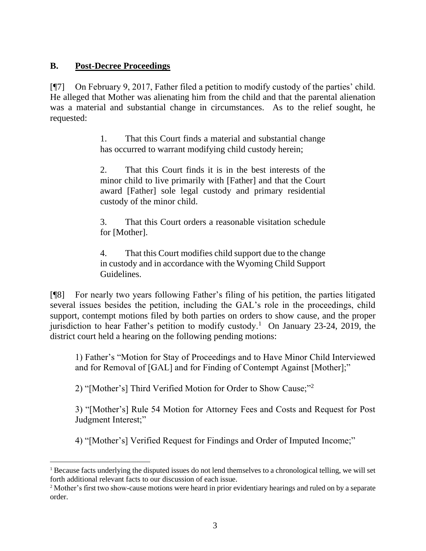## **B. Post-Decree Proceedings**

[¶7] On February 9, 2017, Father filed a petition to modify custody of the parties' child. He alleged that Mother was alienating him from the child and that the parental alienation was a material and substantial change in circumstances. As to the relief sought, he requested:

> 1. That this Court finds a material and substantial change has occurred to warrant modifying child custody herein;

> 2. That this Court finds it is in the best interests of the minor child to live primarily with [Father] and that the Court award [Father] sole legal custody and primary residential custody of the minor child.

> 3. That this Court orders a reasonable visitation schedule for [Mother].

> 4. That this Court modifies child support due to the change in custody and in accordance with the Wyoming Child Support Guidelines.

[¶8] For nearly two years following Father's filing of his petition, the parties litigated several issues besides the petition, including the GAL's role in the proceedings, child support, contempt motions filed by both parties on orders to show cause, and the proper jurisdiction to hear Father's petition to modify custody.<sup>1</sup> On January 23-24, 2019, the district court held a hearing on the following pending motions:

1) Father's "Motion for Stay of Proceedings and to Have Minor Child Interviewed and for Removal of [GAL] and for Finding of Contempt Against [Mother];"

2) "[Mother's] Third Verified Motion for Order to Show Cause;"<sup>2</sup>

3) "[Mother's] Rule 54 Motion for Attorney Fees and Costs and Request for Post Judgment Interest;"

4) "[Mother's] Verified Request for Findings and Order of Imputed Income;"

<sup>&</sup>lt;sup>1</sup> Because facts underlying the disputed issues do not lend themselves to a chronological telling, we will set forth additional relevant facts to our discussion of each issue.

<sup>2</sup> Mother's first two show-cause motions were heard in prior evidentiary hearings and ruled on by a separate order.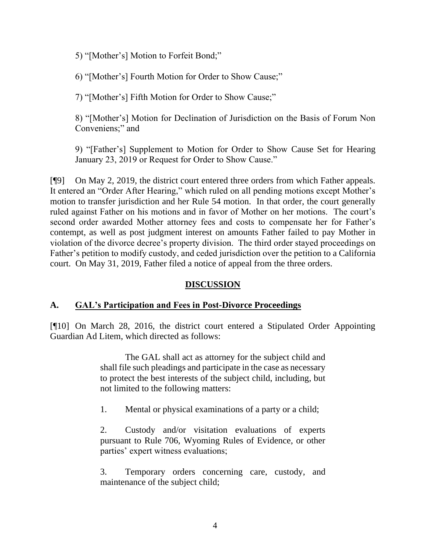5) "[Mother's] Motion to Forfeit Bond;"

6) "[Mother's] Fourth Motion for Order to Show Cause;"

7) "[Mother's] Fifth Motion for Order to Show Cause;"

8) "[Mother's] Motion for Declination of Jurisdiction on the Basis of Forum Non Conveniens;" and

9) "[Father's] Supplement to Motion for Order to Show Cause Set for Hearing January 23, 2019 or Request for Order to Show Cause."

[¶9] On May 2, 2019, the district court entered three orders from which Father appeals. It entered an "Order After Hearing," which ruled on all pending motions except Mother's motion to transfer jurisdiction and her Rule 54 motion. In that order, the court generally ruled against Father on his motions and in favor of Mother on her motions. The court's second order awarded Mother attorney fees and costs to compensate her for Father's contempt, as well as post judgment interest on amounts Father failed to pay Mother in violation of the divorce decree's property division. The third order stayed proceedings on Father's petition to modify custody, and ceded jurisdiction over the petition to a California court. On May 31, 2019, Father filed a notice of appeal from the three orders.

## **DISCUSSION**

## **A. GAL's Participation and Fees in Post-Divorce Proceedings**

[¶10] On March 28, 2016, the district court entered a Stipulated Order Appointing Guardian Ad Litem, which directed as follows:

> The GAL shall act as attorney for the subject child and shall file such pleadings and participate in the case as necessary to protect the best interests of the subject child, including, but not limited to the following matters:

1. Mental or physical examinations of a party or a child;

2. Custody and/or visitation evaluations of experts pursuant to Rule 706, Wyoming Rules of Evidence, or other parties' expert witness evaluations;

3. Temporary orders concerning care, custody, and maintenance of the subject child;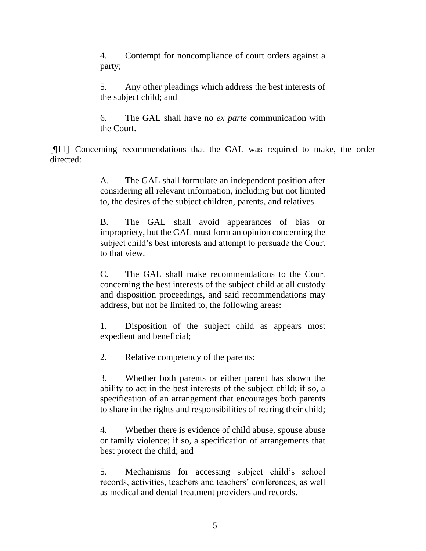4. Contempt for noncompliance of court orders against a party;

5. Any other pleadings which address the best interests of the subject child; and

6. The GAL shall have no *ex parte* communication with the Court.

[¶11] Concerning recommendations that the GAL was required to make, the order directed:

> A. The GAL shall formulate an independent position after considering all relevant information, including but not limited to, the desires of the subject children, parents, and relatives.

> B. The GAL shall avoid appearances of bias or impropriety, but the GAL must form an opinion concerning the subject child's best interests and attempt to persuade the Court to that view.

> C. The GAL shall make recommendations to the Court concerning the best interests of the subject child at all custody and disposition proceedings, and said recommendations may address, but not be limited to, the following areas:

> 1. Disposition of the subject child as appears most expedient and beneficial;

2. Relative competency of the parents;

3. Whether both parents or either parent has shown the ability to act in the best interests of the subject child; if so, a specification of an arrangement that encourages both parents to share in the rights and responsibilities of rearing their child;

4. Whether there is evidence of child abuse, spouse abuse or family violence; if so, a specification of arrangements that best protect the child; and

5. Mechanisms for accessing subject child's school records, activities, teachers and teachers' conferences, as well as medical and dental treatment providers and records.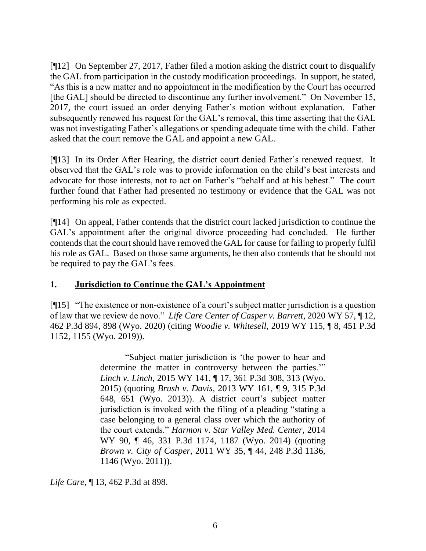[¶12] On September 27, 2017, Father filed a motion asking the district court to disqualify the GAL from participation in the custody modification proceedings. In support, he stated, "As this is a new matter and no appointment in the modification by the Court has occurred [the GAL] should be directed to discontinue any further involvement." On November 15, 2017, the court issued an order denying Father's motion without explanation. Father subsequently renewed his request for the GAL's removal, this time asserting that the GAL was not investigating Father's allegations or spending adequate time with the child. Father asked that the court remove the GAL and appoint a new GAL.

[¶13] In its Order After Hearing, the district court denied Father's renewed request. It observed that the GAL's role was to provide information on the child's best interests and advocate for those interests, not to act on Father's "behalf and at his behest." The court further found that Father had presented no testimony or evidence that the GAL was not performing his role as expected.

[¶14] On appeal, Father contends that the district court lacked jurisdiction to continue the GAL's appointment after the original divorce proceeding had concluded. He further contends that the court should have removed the GAL for cause for failing to properly fulfil his role as GAL. Based on those same arguments, he then also contends that he should not be required to pay the GAL's fees.

## **1. Jurisdiction to Continue the GAL's Appointment**

[¶15] "The existence or non-existence of a court's subject matter jurisdiction is a question of law that we review de novo." *Life Care Center of Casper v. Barrett*, 2020 WY 57, ¶ 12, 462 P.3d 894, 898 (Wyo. 2020) (citing *Woodie v. Whitesell*, 2019 WY 115, ¶ 8, 451 P.3d 1152, 1155 (Wyo. 2019)).

> "Subject matter jurisdiction is 'the power to hear and determine the matter in controversy between the parties.'" *Linch v. Linch*[, 2015 WY 141, ¶ 17, 361 P.3d 308, 313 \(Wyo.](http://www.westlaw.com/Link/Document/FullText?findType=Y&serNum=2037564168&pubNum=0004645&originatingDoc=I9e9c01f08f3e11ea8b0f97acce53a660&refType=RP&fi=co_pp_sp_4645_313&originationContext=document&vr=3.0&rs=cblt1.0&transitionType=DocumentItem&contextData=(sc.Search)#co_pp_sp_4645_313)  [2015\)](http://www.westlaw.com/Link/Document/FullText?findType=Y&serNum=2037564168&pubNum=0004645&originatingDoc=I9e9c01f08f3e11ea8b0f97acce53a660&refType=RP&fi=co_pp_sp_4645_313&originationContext=document&vr=3.0&rs=cblt1.0&transitionType=DocumentItem&contextData=(sc.Search)#co_pp_sp_4645_313) (quoting *Brush v. Davis*[, 2013 WY 161, ¶ 9, 315 P.3d](http://www.westlaw.com/Link/Document/FullText?findType=Y&serNum=2032420964&pubNum=0004645&originatingDoc=I9e9c01f08f3e11ea8b0f97acce53a660&refType=RP&fi=co_pp_sp_4645_651&originationContext=document&vr=3.0&rs=cblt1.0&transitionType=DocumentItem&contextData=(sc.Search)#co_pp_sp_4645_651)  [648, 651 \(Wyo. 2013\)\)](http://www.westlaw.com/Link/Document/FullText?findType=Y&serNum=2032420964&pubNum=0004645&originatingDoc=I9e9c01f08f3e11ea8b0f97acce53a660&refType=RP&fi=co_pp_sp_4645_651&originationContext=document&vr=3.0&rs=cblt1.0&transitionType=DocumentItem&contextData=(sc.Search)#co_pp_sp_4645_651). A district court's subject matter jurisdiction is invoked with the filing of a pleading "stating a case belonging to a general class over which the authority of the court extends." *[Harmon v. Star Valley Med. Center](http://www.westlaw.com/Link/Document/FullText?findType=Y&serNum=2033856948&pubNum=0004645&originatingDoc=I9e9c01f08f3e11ea8b0f97acce53a660&refType=RP&fi=co_pp_sp_4645_1187&originationContext=document&vr=3.0&rs=cblt1.0&transitionType=DocumentItem&contextData=(sc.Search)#co_pp_sp_4645_1187)*, 2014 [WY 90, ¶ 46, 331 P.3d 1174, 1187 \(Wyo. 2014\)](http://www.westlaw.com/Link/Document/FullText?findType=Y&serNum=2033856948&pubNum=0004645&originatingDoc=I9e9c01f08f3e11ea8b0f97acce53a660&refType=RP&fi=co_pp_sp_4645_1187&originationContext=document&vr=3.0&rs=cblt1.0&transitionType=DocumentItem&contextData=(sc.Search)#co_pp_sp_4645_1187) (quoting *Brown v. City of Casper*[, 2011 WY 35, ¶ 44, 248 P.3d 1136,](http://www.westlaw.com/Link/Document/FullText?findType=Y&serNum=2024682915&pubNum=0004645&originatingDoc=I9e9c01f08f3e11ea8b0f97acce53a660&refType=RP&fi=co_pp_sp_4645_1146&originationContext=document&vr=3.0&rs=cblt1.0&transitionType=DocumentItem&contextData=(sc.Search)#co_pp_sp_4645_1146)  [1146 \(Wyo. 2011\)\)](http://www.westlaw.com/Link/Document/FullText?findType=Y&serNum=2024682915&pubNum=0004645&originatingDoc=I9e9c01f08f3e11ea8b0f97acce53a660&refType=RP&fi=co_pp_sp_4645_1146&originationContext=document&vr=3.0&rs=cblt1.0&transitionType=DocumentItem&contextData=(sc.Search)#co_pp_sp_4645_1146).

*Life Care*, ¶ 13, 462 P.3d at 898.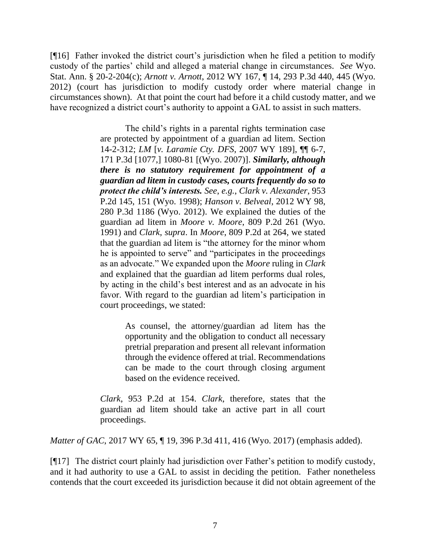[¶16] Father invoked the district court's jurisdiction when he filed a petition to modify custody of the parties' child and alleged a material change in circumstances. *See* Wyo. Stat. Ann. § 20-2-204(c); *Arnott v. Arnott*, 2012 WY 167, ¶ 14, 293 P.3d 440, 445 (Wyo. 2012) (court has jurisdiction to modify custody order where material change in circumstances shown). At that point the court had before it a child custody matter, and we have recognized a district court's authority to appoint a GAL to assist in such matters.

> The child's rights in a parental rights termination case are protected by appointment of a guardian ad litem. [Section](http://www.westlaw.com/Link/Document/FullText?findType=L&pubNum=1000377&cite=WYSTS14-2-312&originatingDoc=Ic1d7ea10481711e7bcf2cc0f37ee205d&refType=LQ&originationContext=document&vr=3.0&rs=cblt1.0&transitionType=DocumentItem&contextData=(sc.UserEnteredCitation))  [14-2-312;](http://www.westlaw.com/Link/Document/FullText?findType=L&pubNum=1000377&cite=WYSTS14-2-312&originatingDoc=Ic1d7ea10481711e7bcf2cc0f37ee205d&refType=LQ&originationContext=document&vr=3.0&rs=cblt1.0&transitionType=DocumentItem&contextData=(sc.UserEnteredCitation)) *LM* [*v. Laramie Cty. DFS*, 2007 WY 189], ¶¶ 6-7, 171 P.3d [1077,] 1080-81 [(Wyo. 2007)]. *Similarly, although there is no statutory requirement for appointment of a guardian ad litem in custody cases, courts frequently do so to protect the child's interests. See*, *e.g.*, *[Clark v. Alexander](http://www.westlaw.com/Link/Document/FullText?findType=Y&serNum=1998054919&pubNum=0000661&originatingDoc=Ic1d7ea10481711e7bcf2cc0f37ee205d&refType=RP&fi=co_pp_sp_661_151&originationContext=document&vr=3.0&rs=cblt1.0&transitionType=DocumentItem&contextData=(sc.UserEnteredCitation)#co_pp_sp_661_151)*, 953 [P.2d 145, 151 \(Wyo. 1998\);](http://www.westlaw.com/Link/Document/FullText?findType=Y&serNum=1998054919&pubNum=0000661&originatingDoc=Ic1d7ea10481711e7bcf2cc0f37ee205d&refType=RP&fi=co_pp_sp_661_151&originationContext=document&vr=3.0&rs=cblt1.0&transitionType=DocumentItem&contextData=(sc.UserEnteredCitation)#co_pp_sp_661_151) *[Hanson v. Belveal](http://www.westlaw.com/Link/Document/FullText?findType=Y&serNum=2028233495&pubNum=0004645&originatingDoc=Ic1d7ea10481711e7bcf2cc0f37ee205d&refType=RP&originationContext=document&vr=3.0&rs=cblt1.0&transitionType=DocumentItem&contextData=(sc.UserEnteredCitation))*, 2012 WY 98, [280 P.3d 1186 \(Wyo. 2012\).](http://www.westlaw.com/Link/Document/FullText?findType=Y&serNum=2028233495&pubNum=0004645&originatingDoc=Ic1d7ea10481711e7bcf2cc0f37ee205d&refType=RP&originationContext=document&vr=3.0&rs=cblt1.0&transitionType=DocumentItem&contextData=(sc.UserEnteredCitation)) We explained the duties of the guardian ad litem in *Moore v. Moore*[, 809 P.2d 261 \(Wyo.](http://www.westlaw.com/Link/Document/FullText?findType=Y&serNum=1991073790&pubNum=0000661&originatingDoc=Ic1d7ea10481711e7bcf2cc0f37ee205d&refType=RP&originationContext=document&vr=3.0&rs=cblt1.0&transitionType=DocumentItem&contextData=(sc.UserEnteredCitation))  [1991\)](http://www.westlaw.com/Link/Document/FullText?findType=Y&serNum=1991073790&pubNum=0000661&originatingDoc=Ic1d7ea10481711e7bcf2cc0f37ee205d&refType=RP&originationContext=document&vr=3.0&rs=cblt1.0&transitionType=DocumentItem&contextData=(sc.UserEnteredCitation)) and *Clark*, *[supra](http://www.westlaw.com/Link/Document/FullText?findType=Y&serNum=1998054919&pubNum=0000661&originatingDoc=Ic1d7ea10481711e7bcf2cc0f37ee205d&refType=RP&originationContext=document&vr=3.0&rs=cblt1.0&transitionType=DocumentItem&contextData=(sc.UserEnteredCitation))*. In *Moore*[, 809 P.2d at 264,](http://www.westlaw.com/Link/Document/FullText?findType=Y&serNum=1991073790&pubNum=0000661&originatingDoc=Ic1d7ea10481711e7bcf2cc0f37ee205d&refType=RP&fi=co_pp_sp_661_264&originationContext=document&vr=3.0&rs=cblt1.0&transitionType=DocumentItem&contextData=(sc.UserEnteredCitation)#co_pp_sp_661_264) we stated that the guardian ad litem is "the attorney for the minor whom he is appointed to serve" and "participates in the proceedings as an advocate." We expanded upon the *[Moore](http://www.westlaw.com/Link/Document/FullText?findType=Y&serNum=1991073790&pubNum=0000661&originatingDoc=Ic1d7ea10481711e7bcf2cc0f37ee205d&refType=RP&originationContext=document&vr=3.0&rs=cblt1.0&transitionType=DocumentItem&contextData=(sc.UserEnteredCitation))* ruling in *[Clark](http://www.westlaw.com/Link/Document/FullText?findType=Y&serNum=1998054919&pubNum=0000661&originatingDoc=Ic1d7ea10481711e7bcf2cc0f37ee205d&refType=RP&originationContext=document&vr=3.0&rs=cblt1.0&transitionType=DocumentItem&contextData=(sc.UserEnteredCitation))* and explained that the guardian ad litem performs dual roles, by acting in the child's best interest and as an advocate in his favor. With regard to the guardian ad litem's participation in court proceedings, we stated:

> > As counsel, the attorney/guardian ad litem has the opportunity and the obligation to conduct all necessary pretrial preparation and present all relevant information through the evidence offered at trial. Recommendations can be made to the court through closing argument based on the evidence received.

*Clark*[, 953 P.2d at 154.](http://www.westlaw.com/Link/Document/FullText?findType=Y&serNum=1998054919&pubNum=0000661&originatingDoc=Ic1d7ea10481711e7bcf2cc0f37ee205d&refType=RP&fi=co_pp_sp_661_154&originationContext=document&vr=3.0&rs=cblt1.0&transitionType=DocumentItem&contextData=(sc.UserEnteredCitation)#co_pp_sp_661_154) *[Clark](http://www.westlaw.com/Link/Document/FullText?findType=Y&serNum=1998054919&pubNum=0000661&originatingDoc=Ic1d7ea10481711e7bcf2cc0f37ee205d&refType=RP&originationContext=document&vr=3.0&rs=cblt1.0&transitionType=DocumentItem&contextData=(sc.UserEnteredCitation))*, therefore, states that the guardian ad litem should take an active part in all court proceedings.

*Matter of GAC*, 2017 WY 65, ¶ 19, 396 P.3d 411, 416 (Wyo. 2017) (emphasis added).

[¶17] The district court plainly had jurisdiction over Father's petition to modify custody, and it had authority to use a GAL to assist in deciding the petition. Father nonetheless contends that the court exceeded its jurisdiction because it did not obtain agreement of the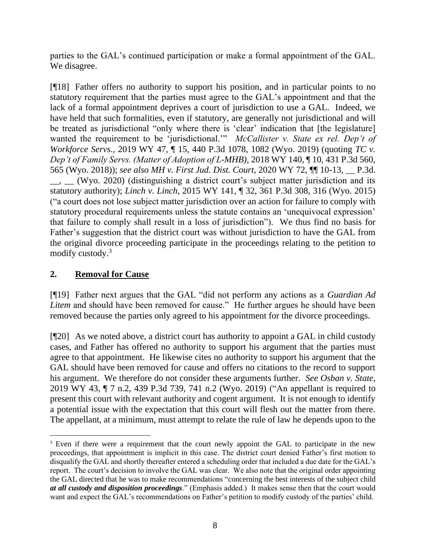parties to the GAL's continued participation or make a formal appointment of the GAL. We disagree.

[¶18] Father offers no authority to support his position, and in particular points to no statutory requirement that the parties must agree to the GAL's appointment and that the lack of a formal appointment deprives a court of jurisdiction to use a GAL. Indeed, we have held that such formalities, even if statutory, are generally not jurisdictional and will be treated as jurisdictional "only where there is 'clear' indication that [the legislature] wanted the requirement to be 'jurisdictional.'" *McCallister v. State ex rel. Dep't of Workforce Servs.*, 2019 WY 47, ¶ 15, 440 P.3d 1078, 1082 (Wyo. 2019) (quoting *TC v. Dep't of Family Servs. (Matter of Adoption of L-MHB)*, 2018 WY 140, ¶ 10, 431 P.3d 560, 565 (Wyo. 2018)); *see also MH v. First Jud. Dist. Court*, 2020 WY 72, ¶¶ 10-13, \_\_ P.3d.  $\rightarrow$  (Wyo. 2020) (distinguishing a district court's subject matter jurisdiction and its statutory authority); *Linch v. Linch*[, 2015 WY 141, ¶ 32, 361 P.3d 308, 316 \(Wyo. 2015\)](http://www.westlaw.com/Link/Document/FullText?findType=Y&serNum=2037564168&pubNum=0004645&originatingDoc=Ibe4a6c20710e11e995729f392a712bfc&refType=RP&fi=co_pp_sp_4645_315&originationContext=document&vr=3.0&rs=cblt1.0&transitionType=DocumentItem&contextData=(sc.Search)#co_pp_sp_4645_315) ("a court does not lose subject matter jurisdiction over an action for failure to comply with statutory procedural requirements unless the statute contains an 'unequivocal expression' that failure to comply shall result in a loss of jurisdiction"). We thus find no basis for Father's suggestion that the district court was without jurisdiction to have the GAL from the original divorce proceeding participate in the proceedings relating to the petition to modify custody.<sup>3</sup>

### **2. Removal for Cause**

[¶19] Father next argues that the GAL "did not perform any actions as a *Guardian Ad Litem* and should have been removed for cause." He further argues he should have been removed because the parties only agreed to his appointment for the divorce proceedings.

[¶20] As we noted above, a district court has authority to appoint a GAL in child custody cases, and Father has offered no authority to support his argument that the parties must agree to that appointment. He likewise cites no authority to support his argument that the GAL should have been removed for cause and offers no citations to the record to support his argument. We therefore do not consider these arguments further. *See Osban v. State*, 2019 WY 43, ¶ 7 n.2, 439 P.3d 739, 741 n.2 (Wyo. 2019) ("An appellant is required to present this court with relevant authority and cogent argument. It is not enough to identify a potential issue with the expectation that this court will flesh out the matter from there. The appellant, at a minimum, must attempt to relate the rule of law he depends upon to the

<sup>&</sup>lt;sup>3</sup> Even if there were a requirement that the court newly appoint the GAL to participate in the new proceedings, that appointment is implicit in this case. The district court denied Father's first motion to disqualify the GAL and shortly thereafter entered a scheduling order that included a due date for the GAL's report. The court's decision to involve the GAL was clear. We also note that the original order appointing the GAL directed that he was to make recommendations "concerning the best interests of the subject child *at all custody and disposition proceedings*." (Emphasis added.) It makes sense then that the court would want and expect the GAL's recommendations on Father's petition to modify custody of the parties' child.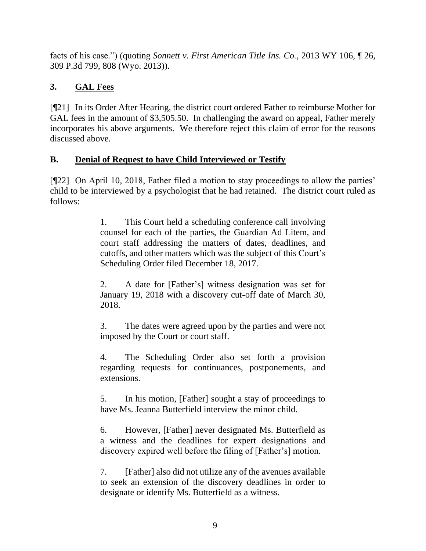facts of his case.") (quoting *Sonnett v. First American Title Ins. Co.*, 2013 WY 106, ¶ 26, 309 P.3d 799, 808 (Wyo. 2013)).

# **3. GAL Fees**

[¶21] In its Order After Hearing, the district court ordered Father to reimburse Mother for GAL fees in the amount of \$3,505.50. In challenging the award on appeal, Father merely incorporates his above arguments. We therefore reject this claim of error for the reasons discussed above.

# **B. Denial of Request to have Child Interviewed or Testify**

[¶22] On April 10, 2018, Father filed a motion to stay proceedings to allow the parties' child to be interviewed by a psychologist that he had retained. The district court ruled as follows:

> 1. This Court held a scheduling conference call involving counsel for each of the parties, the Guardian Ad Litem, and court staff addressing the matters of dates, deadlines, and cutoffs, and other matters which was the subject of this Court's Scheduling Order filed December 18, 2017.

> 2. A date for [Father's] witness designation was set for January 19, 2018 with a discovery cut-off date of March 30, 2018.

> 3. The dates were agreed upon by the parties and were not imposed by the Court or court staff.

> 4. The Scheduling Order also set forth a provision regarding requests for continuances, postponements, and extensions.

> 5. In his motion, [Father] sought a stay of proceedings to have Ms. Jeanna Butterfield interview the minor child.

> 6. However, [Father] never designated Ms. Butterfield as a witness and the deadlines for expert designations and discovery expired well before the filing of [Father's] motion.

> 7. [Father] also did not utilize any of the avenues available to seek an extension of the discovery deadlines in order to designate or identify Ms. Butterfield as a witness.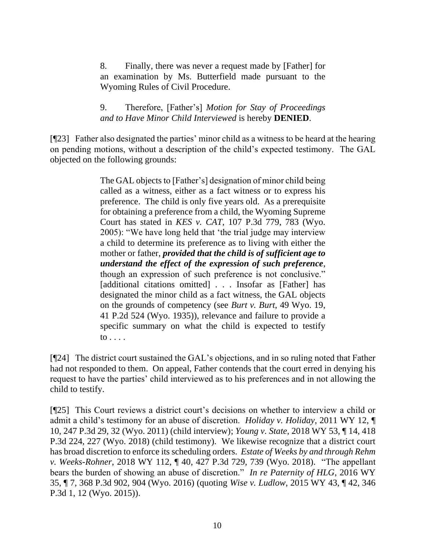8. Finally, there was never a request made by [Father] for an examination by Ms. Butterfield made pursuant to the Wyoming Rules of Civil Procedure.

### 9. Therefore, [Father's] *Motion for Stay of Proceedings and to Have Minor Child Interviewed* is hereby **DENIED**.

[¶23] Father also designated the parties' minor child as a witness to be heard at the hearing on pending motions, without a description of the child's expected testimony. The GAL objected on the following grounds:

> The GAL objects to [Father's] designation of minor child being called as a witness, either as a fact witness or to express his preference. The child is only five years old. As a prerequisite for obtaining a preference from a child, the Wyoming Supreme Court has stated in *KES v. CAT*, 107 P.3d 779, 783 (Wyo. 2005): "We have long held that 'the trial judge may interview a child to determine its preference as to living with either the mother or father, *provided that the child is of sufficient age to understand the effect of the expression of such preference*, though an expression of such preference is not conclusive." [additional citations omitted] . . . Insofar as [Father] has designated the minor child as a fact witness, the GAL objects on the grounds of competency (see *Burt v. Burt*, 49 Wyo. 19, 41 P.2d 524 (Wyo. 1935)), relevance and failure to provide a specific summary on what the child is expected to testify to . . . .

[¶24] The district court sustained the GAL's objections, and in so ruling noted that Father had not responded to them. On appeal, Father contends that the court erred in denying his request to have the parties' child interviewed as to his preferences and in not allowing the child to testify.

[¶25] This Court reviews a district court's decisions on whether to interview a child or admit a child's testimony for an abuse of discretion. *Holiday v. Holiday*, 2011 WY 12, ¶ 10, 247 P.3d 29, 32 (Wyo. 2011) (child interview); *Young v. State*, 2018 WY 53, ¶ 14, 418 P.3d 224, 227 (Wyo. 2018) (child testimony). We likewise recognize that a district court has broad discretion to enforce its scheduling orders. *Estate of Weeks by and through Rehm v. Weeks-Rohner*, 2018 WY 112, ¶ 40, 427 P.3d 729, 739 (Wyo. 2018). "The appellant bears the burden of showing an abuse of discretion." *In re Paternity of HLG*, 2016 WY 35, ¶ 7, 368 P.3d 902, 904 (Wyo. 2016) (quoting *[Wise v. Ludlow](http://www.westlaw.com/Link/Document/FullText?findType=Y&serNum=2035665830&pubNum=0004645&originatingDoc=I676b4082e9f111e5a807ad48145ed9f1&refType=RP&fi=co_pp_sp_4645_12&originationContext=document&vr=3.0&rs=cblt1.0&transitionType=DocumentItem&contextData=(sc.Search)#co_pp_sp_4645_12)*, 2015 WY 43, ¶ 42, 346 [P.3d 1, 12 \(Wyo. 2015\)\)](http://www.westlaw.com/Link/Document/FullText?findType=Y&serNum=2035665830&pubNum=0004645&originatingDoc=I676b4082e9f111e5a807ad48145ed9f1&refType=RP&fi=co_pp_sp_4645_12&originationContext=document&vr=3.0&rs=cblt1.0&transitionType=DocumentItem&contextData=(sc.Search)#co_pp_sp_4645_12).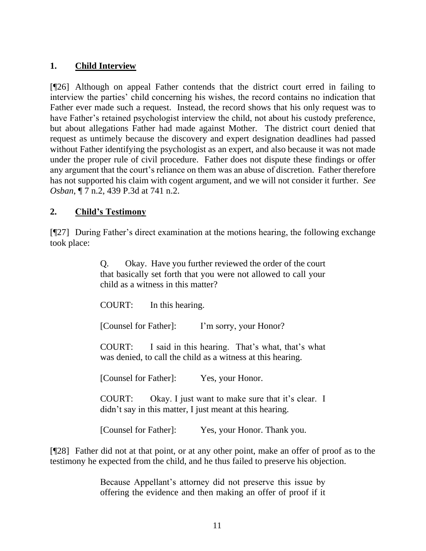### **1. Child Interview**

[¶26] Although on appeal Father contends that the district court erred in failing to interview the parties' child concerning his wishes, the record contains no indication that Father ever made such a request. Instead, the record shows that his only request was to have Father's retained psychologist interview the child, not about his custody preference, but about allegations Father had made against Mother. The district court denied that request as untimely because the discovery and expert designation deadlines had passed without Father identifying the psychologist as an expert, and also because it was not made under the proper rule of civil procedure. Father does not dispute these findings or offer any argument that the court's reliance on them was an abuse of discretion. Father therefore has not supported his claim with cogent argument, and we will not consider it further. *See Osban*, ¶ 7 n.2, 439 P.3d at 741 n.2.

### **2. Child's Testimony**

[¶27] During Father's direct examination at the motions hearing, the following exchange took place:

> Q. Okay. Have you further reviewed the order of the court that basically set forth that you were not allowed to call your child as a witness in this matter?

COURT: In this hearing.

[Counsel for Father]: I'm sorry, your Honor?

COURT: I said in this hearing. That's what, that's what was denied, to call the child as a witness at this hearing.

[Counsel for Father]: Yes, your Honor.

COURT: Okay. I just want to make sure that it's clear. I didn't say in this matter, I just meant at this hearing.

[Counsel for Father]: Yes, your Honor. Thank you.

[¶28] Father did not at that point, or at any other point, make an offer of proof as to the testimony he expected from the child, and he thus failed to preserve his objection.

> Because Appellant's attorney did not preserve this issue by offering the evidence and then making an offer of proof if it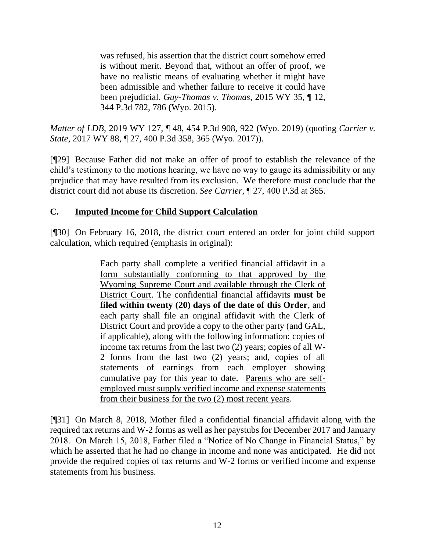was refused, his assertion that the district court somehow erred is without merit. Beyond that, without an offer of proof, we have no realistic means of evaluating whether it might have been admissible and whether failure to receive it could have been prejudicial. *[Guy-Thomas v. Thomas](http://www.westlaw.com/Link/Document/FullText?findType=Y&serNum=2035576478&pubNum=0004645&originatingDoc=I76cd8a2021f411ea9c50eae3965d52d0&refType=RP&fi=co_pp_sp_4645_786&originationContext=document&vr=3.0&rs=cblt1.0&transitionType=DocumentItem&contextData=(sc.Search)#co_pp_sp_4645_786)*, 2015 WY 35, ¶ 12, [344 P.3d 782, 786 \(Wyo. 2015\).](http://www.westlaw.com/Link/Document/FullText?findType=Y&serNum=2035576478&pubNum=0004645&originatingDoc=I76cd8a2021f411ea9c50eae3965d52d0&refType=RP&fi=co_pp_sp_4645_786&originationContext=document&vr=3.0&rs=cblt1.0&transitionType=DocumentItem&contextData=(sc.Search)#co_pp_sp_4645_786)

*Matter of LDB*, 2019 WY 127, ¶ 48, 454 P.3d 908, 922 (Wyo. 2019) (quoting *Carrier v. State*, 2017 WY 88, ¶ 27, 400 P.3d 358, 365 (Wyo. 2017)).

[¶29] Because Father did not make an offer of proof to establish the relevance of the child's testimony to the motions hearing, we have no way to gauge its admissibility or any prejudice that may have resulted from its exclusion. We therefore must conclude that the district court did not abuse its discretion. *See Carrier*, ¶ 27, 400 P.3d at 365.

## **C. Imputed Income for Child Support Calculation**

[¶30] On February 16, 2018, the district court entered an order for joint child support calculation, which required (emphasis in original):

> Each party shall complete a verified financial affidavit in a form substantially conforming to that approved by the Wyoming Supreme Court and available through the Clerk of District Court. The confidential financial affidavits **must be filed within twenty (20) days of the date of this Order**, and each party shall file an original affidavit with the Clerk of District Court and provide a copy to the other party (and GAL, if applicable), along with the following information: copies of income tax returns from the last two (2) years; copies of all W-2 forms from the last two (2) years; and, copies of all statements of earnings from each employer showing cumulative pay for this year to date. Parents who are selfemployed must supply verified income and expense statements from their business for the two (2) most recent years.

[¶31] On March 8, 2018, Mother filed a confidential financial affidavit along with the required tax returns and W-2 forms as well as her paystubs for December 2017 and January 2018. On March 15, 2018, Father filed a "Notice of No Change in Financial Status," by which he asserted that he had no change in income and none was anticipated. He did not provide the required copies of tax returns and W-2 forms or verified income and expense statements from his business.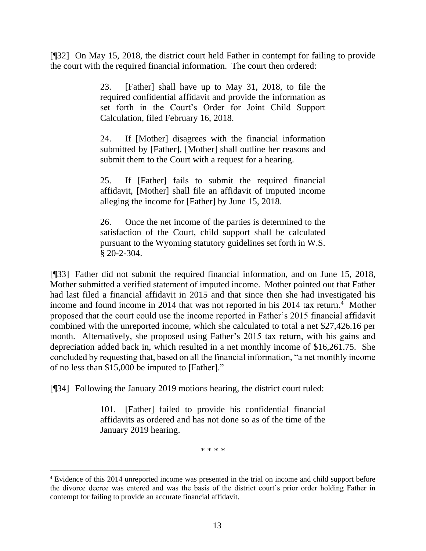[¶32] On May 15, 2018, the district court held Father in contempt for failing to provide the court with the required financial information. The court then ordered:

> 23. [Father] shall have up to May 31, 2018, to file the required confidential affidavit and provide the information as set forth in the Court's Order for Joint Child Support Calculation, filed February 16, 2018.

> 24. If [Mother] disagrees with the financial information submitted by [Father], [Mother] shall outline her reasons and submit them to the Court with a request for a hearing.

> 25. If [Father] fails to submit the required financial affidavit, [Mother] shall file an affidavit of imputed income alleging the income for [Father] by June 15, 2018.

> 26. Once the net income of the parties is determined to the satisfaction of the Court, child support shall be calculated pursuant to the Wyoming statutory guidelines set forth in W.S. § 20-2-304.

[¶33] Father did not submit the required financial information, and on June 15, 2018, Mother submitted a verified statement of imputed income. Mother pointed out that Father had last filed a financial affidavit in 2015 and that since then she had investigated his income and found income in 2014 that was not reported in his 2014 tax return.<sup>4</sup> Mother proposed that the court could use the income reported in Father's 2015 financial affidavit combined with the unreported income, which she calculated to total a net \$27,426.16 per month. Alternatively, she proposed using Father's 2015 tax return, with his gains and depreciation added back in, which resulted in a net monthly income of \$16,261.75. She concluded by requesting that, based on all the financial information, "a net monthly income of no less than \$15,000 be imputed to [Father]."

[¶34] Following the January 2019 motions hearing, the district court ruled:

101. [Father] failed to provide his confidential financial affidavits as ordered and has not done so as of the time of the January 2019 hearing.

\* \* \* \*

<sup>4</sup> Evidence of this 2014 unreported income was presented in the trial on income and child support before the divorce decree was entered and was the basis of the district court's prior order holding Father in contempt for failing to provide an accurate financial affidavit.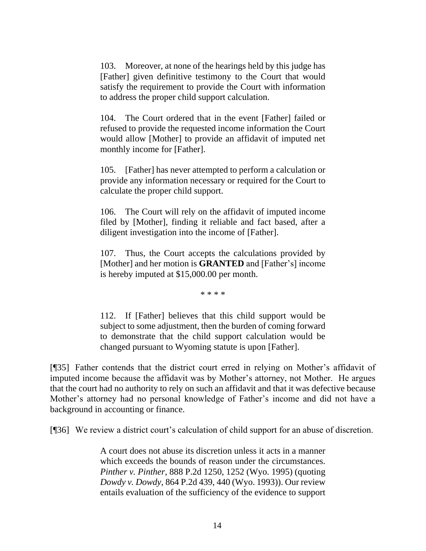103. Moreover, at none of the hearings held by this judge has [Father] given definitive testimony to the Court that would satisfy the requirement to provide the Court with information to address the proper child support calculation.

104. The Court ordered that in the event [Father] failed or refused to provide the requested income information the Court would allow [Mother] to provide an affidavit of imputed net monthly income for [Father].

105. [Father] has never attempted to perform a calculation or provide any information necessary or required for the Court to calculate the proper child support.

106. The Court will rely on the affidavit of imputed income filed by [Mother], finding it reliable and fact based, after a diligent investigation into the income of [Father].

107. Thus, the Court accepts the calculations provided by [Mother] and her motion is **GRANTED** and [Father's] income is hereby imputed at \$15,000.00 per month.

\* \* \* \*

112. If [Father] believes that this child support would be subject to some adjustment, then the burden of coming forward to demonstrate that the child support calculation would be changed pursuant to Wyoming statute is upon [Father].

[¶35] Father contends that the district court erred in relying on Mother's affidavit of imputed income because the affidavit was by Mother's attorney, not Mother. He argues that the court had no authority to rely on such an affidavit and that it was defective because Mother's attorney had no personal knowledge of Father's income and did not have a background in accounting or finance.

[¶36] We review a district court's calculation of child support for an abuse of discretion.

A court does not abuse its discretion unless it acts in a manner which exceeds the bounds of reason under the circumstances. *Pinther v. Pinther*, 888 P.2d 1250, 1252 (Wyo. 1995) (quoting *Dowdy v. Dowdy*, 864 P.2d 439, 440 (Wyo. 1993)). Our review entails evaluation of the sufficiency of the evidence to support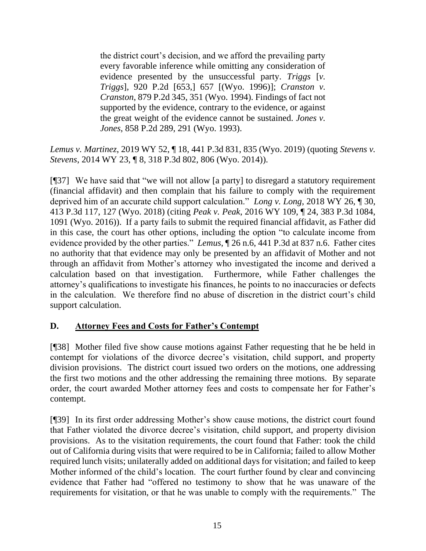the district court's decision, and we afford the prevailing party every favorable inference while omitting any consideration of evidence presented by the unsuccessful party. *Triggs* [*v. Triggs*], 920 P.2d [653,] 657 [(Wyo. 1996)]; *Cranston v. Cranston*, 879 P.2d 345, 351 (Wyo. 1994). Findings of fact not supported by the evidence, contrary to the evidence, or against the great weight of the evidence cannot be sustained. *Jones v. Jones*, 858 P.2d 289, 291 (Wyo. 1993).

*Lemus v. Martinez*, 2019 WY 52, ¶ 18, 441 P.3d 831, 835 (Wyo. 2019) (quoting *Stevens v. Stevens*, 2014 WY 23, ¶ 8, 318 P.3d 802, 806 (Wyo. 2014)).

[¶37] We have said that "we will not allow [a party] to disregard a statutory requirement (financial affidavit) and then complain that his failure to comply with the requirement deprived him of an accurate child support calculation." *Long v. Long*, 2018 WY 26, ¶ 30, 413 P.3d 117, 127 (Wyo. 2018) (citing *Peak v. Peak*[, 2016 WY 109, ¶ 24, 383 P.3d 1084,](http://www.westlaw.com/Link/Document/FullText?findType=Y&serNum=2040329838&pubNum=0004645&originatingDoc=Ie86ea5f0264311e8bf39ca8c49083d45&refType=RP&fi=co_pp_sp_4645_1091&originationContext=document&vr=3.0&rs=cblt1.0&transitionType=DocumentItem&contextData=(sc.UserEnteredCitation)#co_pp_sp_4645_1091)  [1091 \(Wyo. 2016\)\)](http://www.westlaw.com/Link/Document/FullText?findType=Y&serNum=2040329838&pubNum=0004645&originatingDoc=Ie86ea5f0264311e8bf39ca8c49083d45&refType=RP&fi=co_pp_sp_4645_1091&originationContext=document&vr=3.0&rs=cblt1.0&transitionType=DocumentItem&contextData=(sc.UserEnteredCitation)#co_pp_sp_4645_1091). If a party fails to submit the required financial affidavit, as Father did in this case, the court has other options, including the option "to calculate income from evidence provided by the other parties." *Lemus*, ¶ 26 n.6, 441 P.3d at 837 n.6. Father cites no authority that that evidence may only be presented by an affidavit of Mother and not through an affidavit from Mother's attorney who investigated the income and derived a calculation based on that investigation. Furthermore, while Father challenges the attorney's qualifications to investigate his finances, he points to no inaccuracies or defects in the calculation. We therefore find no abuse of discretion in the district court's child support calculation.

## **D. Attorney Fees and Costs for Father's Contempt**

[¶38] Mother filed five show cause motions against Father requesting that he be held in contempt for violations of the divorce decree's visitation, child support, and property division provisions. The district court issued two orders on the motions, one addressing the first two motions and the other addressing the remaining three motions. By separate order, the court awarded Mother attorney fees and costs to compensate her for Father's contempt.

[¶39] In its first order addressing Mother's show cause motions, the district court found that Father violated the divorce decree's visitation, child support, and property division provisions. As to the visitation requirements, the court found that Father: took the child out of California during visits that were required to be in California; failed to allow Mother required lunch visits; unilaterally added on additional days for visitation; and failed to keep Mother informed of the child's location. The court further found by clear and convincing evidence that Father had "offered no testimony to show that he was unaware of the requirements for visitation, or that he was unable to comply with the requirements." The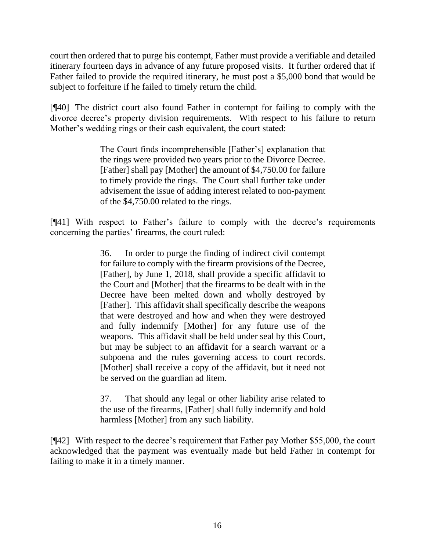court then ordered that to purge his contempt, Father must provide a verifiable and detailed itinerary fourteen days in advance of any future proposed visits. It further ordered that if Father failed to provide the required itinerary, he must post a \$5,000 bond that would be subject to forfeiture if he failed to timely return the child.

[¶40] The district court also found Father in contempt for failing to comply with the divorce decree's property division requirements. With respect to his failure to return Mother's wedding rings or their cash equivalent, the court stated:

> The Court finds incomprehensible [Father's] explanation that the rings were provided two years prior to the Divorce Decree. [Father] shall pay [Mother] the amount of \$4,750.00 for failure to timely provide the rings. The Court shall further take under advisement the issue of adding interest related to non-payment of the \$4,750.00 related to the rings.

[¶41] With respect to Father's failure to comply with the decree's requirements concerning the parties' firearms, the court ruled:

> 36. In order to purge the finding of indirect civil contempt for failure to comply with the firearm provisions of the Decree, [Father], by June 1, 2018, shall provide a specific affidavit to the Court and [Mother] that the firearms to be dealt with in the Decree have been melted down and wholly destroyed by [Father]. This affidavit shall specifically describe the weapons that were destroyed and how and when they were destroyed and fully indemnify [Mother] for any future use of the weapons. This affidavit shall be held under seal by this Court, but may be subject to an affidavit for a search warrant or a subpoena and the rules governing access to court records. [Mother] shall receive a copy of the affidavit, but it need not be served on the guardian ad litem.

> 37. That should any legal or other liability arise related to the use of the firearms, [Father] shall fully indemnify and hold harmless [Mother] from any such liability.

[¶42] With respect to the decree's requirement that Father pay Mother \$55,000, the court acknowledged that the payment was eventually made but held Father in contempt for failing to make it in a timely manner.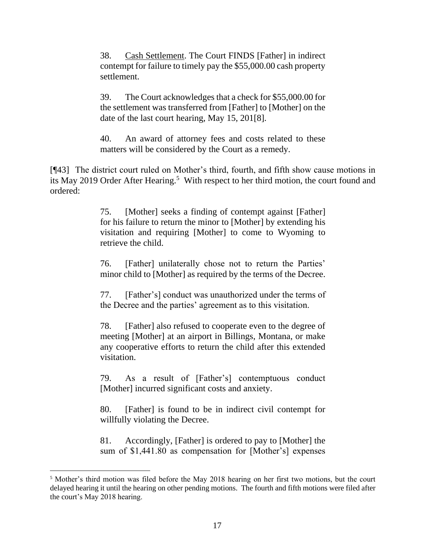38. Cash Settlement. The Court FINDS [Father] in indirect contempt for failure to timely pay the \$55,000.00 cash property settlement.

39. The Court acknowledges that a check for \$55,000.00 for the settlement was transferred from [Father] to [Mother] on the date of the last court hearing, May 15, 201[8].

40. An award of attorney fees and costs related to these matters will be considered by the Court as a remedy.

[¶43] The district court ruled on Mother's third, fourth, and fifth show cause motions in its May 2019 Order After Hearing.<sup>5</sup> With respect to her third motion, the court found and ordered:

> 75. [Mother] seeks a finding of contempt against [Father] for his failure to return the minor to [Mother] by extending his visitation and requiring [Mother] to come to Wyoming to retrieve the child.

> 76. [Father] unilaterally chose not to return the Parties' minor child to [Mother] as required by the terms of the Decree.

> 77. [Father's] conduct was unauthorized under the terms of the Decree and the parties' agreement as to this visitation.

> 78. [Father] also refused to cooperate even to the degree of meeting [Mother] at an airport in Billings, Montana, or make any cooperative efforts to return the child after this extended visitation.

> 79. As a result of [Father's] contemptuous conduct [Mother] incurred significant costs and anxiety.

> 80. [Father] is found to be in indirect civil contempt for willfully violating the Decree.

> 81. Accordingly, [Father] is ordered to pay to [Mother] the sum of \$1,441.80 as compensation for [Mother's] expenses

<sup>5</sup> Mother's third motion was filed before the May 2018 hearing on her first two motions, but the court delayed hearing it until the hearing on other pending motions. The fourth and fifth motions were filed after the court's May 2018 hearing.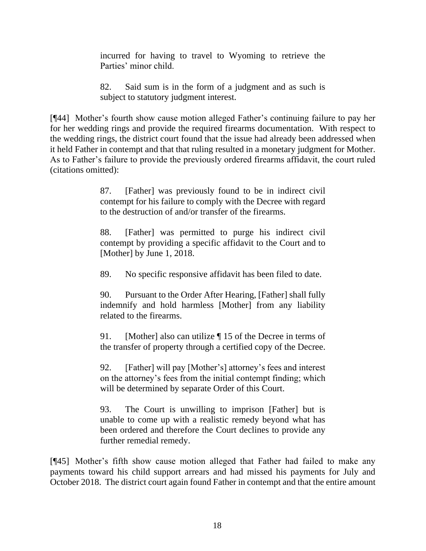incurred for having to travel to Wyoming to retrieve the Parties' minor child.

82. Said sum is in the form of a judgment and as such is subject to statutory judgment interest.

[¶44] Mother's fourth show cause motion alleged Father's continuing failure to pay her for her wedding rings and provide the required firearms documentation. With respect to the wedding rings, the district court found that the issue had already been addressed when it held Father in contempt and that that ruling resulted in a monetary judgment for Mother. As to Father's failure to provide the previously ordered firearms affidavit, the court ruled (citations omitted):

> 87. [Father] was previously found to be in indirect civil contempt for his failure to comply with the Decree with regard to the destruction of and/or transfer of the firearms.

> 88. [Father] was permitted to purge his indirect civil contempt by providing a specific affidavit to the Court and to [Mother] by June 1, 2018.

89. No specific responsive affidavit has been filed to date.

90. Pursuant to the Order After Hearing, [Father] shall fully indemnify and hold harmless [Mother] from any liability related to the firearms.

91. [Mother] also can utilize | 15 of the Decree in terms of the transfer of property through a certified copy of the Decree.

92. [Father] will pay [Mother's] attorney's fees and interest on the attorney's fees from the initial contempt finding; which will be determined by separate Order of this Court.

93. The Court is unwilling to imprison [Father] but is unable to come up with a realistic remedy beyond what has been ordered and therefore the Court declines to provide any further remedial remedy.

[¶45] Mother's fifth show cause motion alleged that Father had failed to make any payments toward his child support arrears and had missed his payments for July and October 2018. The district court again found Father in contempt and that the entire amount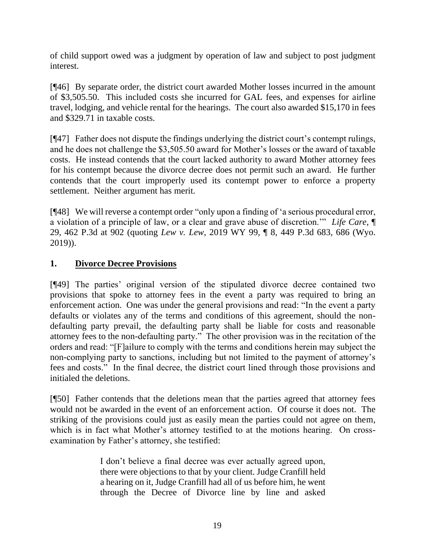of child support owed was a judgment by operation of law and subject to post judgment interest.

[¶46] By separate order, the district court awarded Mother losses incurred in the amount of \$3,505.50. This included costs she incurred for GAL fees, and expenses for airline travel, lodging, and vehicle rental for the hearings. The court also awarded \$15,170 in fees and \$329.71 in taxable costs.

[¶47] Father does not dispute the findings underlying the district court's contempt rulings, and he does not challenge the \$3,505.50 award for Mother's losses or the award of taxable costs. He instead contends that the court lacked authority to award Mother attorney fees for his contempt because the divorce decree does not permit such an award. He further contends that the court improperly used its contempt power to enforce a property settlement. Neither argument has merit.

[¶48] We will reverse a contempt order "only upon a finding of 'a serious procedural error, a violation of a principle of law, or a clear and grave abuse of discretion.'" *Life Care*, ¶ 29, 462 P.3d at 902 (quoting *Lew v. Lew*[, 2019 WY 99, ¶ 8, 449 P.3d 683, 686 \(Wyo.](http://www.westlaw.com/Link/Document/FullText?findType=Y&serNum=2049281603&pubNum=0004645&originatingDoc=I9e9c01f08f3e11ea8b0f97acce53a660&refType=RP&fi=co_pp_sp_4645_686&originationContext=document&vr=3.0&rs=cblt1.0&transitionType=DocumentItem&contextData=(sc.Search)#co_pp_sp_4645_686)  [2019\)\)](http://www.westlaw.com/Link/Document/FullText?findType=Y&serNum=2049281603&pubNum=0004645&originatingDoc=I9e9c01f08f3e11ea8b0f97acce53a660&refType=RP&fi=co_pp_sp_4645_686&originationContext=document&vr=3.0&rs=cblt1.0&transitionType=DocumentItem&contextData=(sc.Search)#co_pp_sp_4645_686).

## **1. Divorce Decree Provisions**

[¶49] The parties' original version of the stipulated divorce decree contained two provisions that spoke to attorney fees in the event a party was required to bring an enforcement action. One was under the general provisions and read: "In the event a party defaults or violates any of the terms and conditions of this agreement, should the nondefaulting party prevail, the defaulting party shall be liable for costs and reasonable attorney fees to the non-defaulting party." The other provision was in the recitation of the orders and read: "[F]ailure to comply with the terms and conditions herein may subject the non-complying party to sanctions, including but not limited to the payment of attorney's fees and costs." In the final decree, the district court lined through those provisions and initialed the deletions.

[¶50] Father contends that the deletions mean that the parties agreed that attorney fees would not be awarded in the event of an enforcement action. Of course it does not. The striking of the provisions could just as easily mean the parties could not agree on them, which is in fact what Mother's attorney testified to at the motions hearing. On crossexamination by Father's attorney, she testified:

> I don't believe a final decree was ever actually agreed upon, there were objections to that by your client. Judge Cranfill held a hearing on it, Judge Cranfill had all of us before him, he went through the Decree of Divorce line by line and asked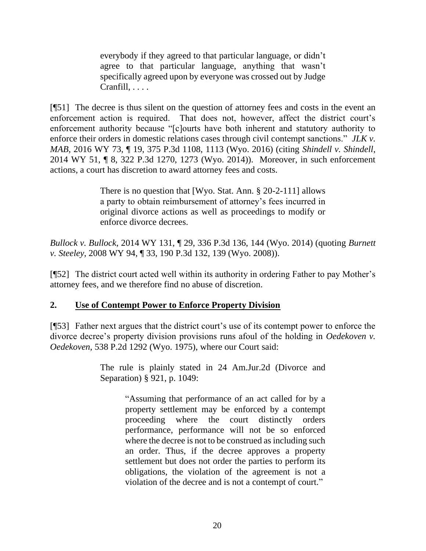everybody if they agreed to that particular language, or didn't agree to that particular language, anything that wasn't specifically agreed upon by everyone was crossed out by Judge Cranfill, . . . .

[¶51] The decree is thus silent on the question of attorney fees and costs in the event an enforcement action is required. That does not, however, affect the district court's enforcement authority because "[c]ourts have both inherent and statutory authority to enforce their orders in domestic relations cases through civil contempt sanctions." *JLK v. MAB*, 2016 WY 73, ¶ 19, 375 P.3d 1108, 1113 (Wyo. 2016) (citing *Shindell v. Shindell*, 2014 WY 51, ¶ 8, 322 P.3d 1270, 1273 (Wyo. 2014)). Moreover, in such enforcement actions, a court has discretion to award attorney fees and costs.

> There is no question that [Wyo. Stat. Ann. § 20-2-111] allows a party to obtain reimbursement of attorney's fees incurred in original divorce actions as well as proceedings to modify or enforce divorce decrees.

*Bullock v. Bullock*, 2014 WY 131, ¶ 29, 336 P.3d 136, 144 (Wyo. 2014) (quoting *Burnett v. Steeley*, 2008 WY 94, ¶ 33, 190 P.3d 132, 139 (Wyo. 2008)).

[¶52] The district court acted well within its authority in ordering Father to pay Mother's attorney fees, and we therefore find no abuse of discretion.

### **2. Use of Contempt Power to Enforce Property Division**

[¶53] Father next argues that the district court's use of its contempt power to enforce the divorce decree's property division provisions runs afoul of the holding in *Oedekoven v. Oedekoven*, 538 P.2d 1292 (Wyo. 1975), where our Court said:

> The rule is plainly stated in [24 Am.Jur.2d \(Divorce and](http://www.westlaw.com/Link/Document/FullText?findType=Y&serNum=0110312249&pubNum=0113412&originatingDoc=I93735ae3f7cc11d98ac8f235252e36df&refType=TS&originationContext=document&vr=3.0&rs=cblt1.0&transitionType=DocumentItem&contextData=(sc.UserEnteredCitation))  [Separation\) §](http://www.westlaw.com/Link/Document/FullText?findType=Y&serNum=0110312249&pubNum=0113412&originatingDoc=I93735ae3f7cc11d98ac8f235252e36df&refType=TS&originationContext=document&vr=3.0&rs=cblt1.0&transitionType=DocumentItem&contextData=(sc.UserEnteredCitation)) 921, p. 1049:

> > "Assuming that performance of an act called for by a property settlement may be enforced by a contempt proceeding where the court distinctly orders performance, performance will not be so enforced where the decree is not to be construed as including such an order. Thus, if the decree approves a property settlement but does not order the parties to perform its obligations, the violation of the agreement is not a violation of the decree and is not a contempt of court."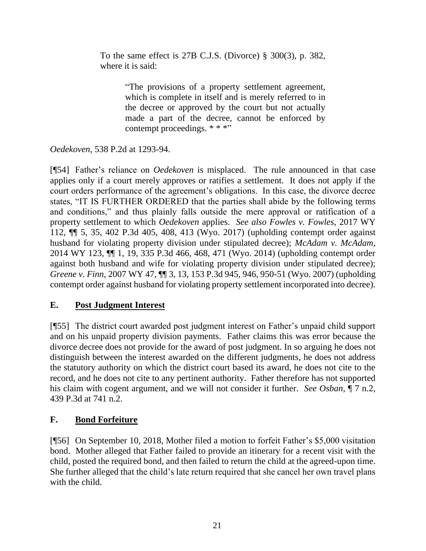To the same effect is 27B [C.J.S. \(Divorce\) §](http://www.westlaw.com/Link/Document/FullText?findType=Y&serNum=0289570220&pubNum=0156628&originatingDoc=I93735ae3f7cc11d98ac8f235252e36df&refType=TS&originationContext=document&vr=3.0&rs=cblt1.0&transitionType=DocumentItem&contextData=(sc.UserEnteredCitation)) 300(3), p. 382, where it is said:

> "The provisions of a property settlement agreement, which is complete in itself and is merely referred to in the decree or approved by the court but not actually made a part of the decree, cannot be enforced by contempt proceedings. \* \* \*"

*Oedekoven*, 538 P.2d at 1293-94.

[¶54] Father's reliance on *Oedekoven* is misplaced. The rule announced in that case applies only if a court merely approves or ratifies a settlement. It does not apply if the court orders performance of the agreement's obligations. In this case, the divorce decree states, "IT IS FURTHER ORDERED that the parties shall abide by the following terms and conditions," and thus plainly falls outside the mere approval or ratification of a property settlement to which *Oedekoven* applies. *See also Fowles v. Fowles*, 2017 WY 112, ¶¶ 5, 35, 402 P.3d 405, 408, 413 (Wyo. 2017) (upholding contempt order against husband for violating property division under stipulated decree); *McAdam v. McAdam*, 2014 WY 123, ¶¶ 1, 19, 335 P.3d 466, 468, 471 (Wyo. 2014) (upholding contempt order against both husband and wife for violating property division under stipulated decree); *Greene v. Finn*, 2007 WY 47, ¶¶ 3, 13, 153 P.3d 945, 946, 950-51 (Wyo. 2007) (upholding contempt order against husband for violating property settlement incorporated into decree).

## **E. Post Judgment Interest**

[¶55] The district court awarded post judgment interest on Father's unpaid child support and on his unpaid property division payments. Father claims this was error because the divorce decree does not provide for the award of post judgment. In so arguing he does not distinguish between the interest awarded on the different judgments, he does not address the statutory authority on which the district court based its award, he does not cite to the record, and he does not cite to any pertinent authority. Father therefore has not supported his claim with cogent argument, and we will not consider it further. *See Osban*[, ¶ 7 n.2,](http://www.westlaw.com/Link/Document/FullText?findType=Y&serNum=2048072264&pubNum=0004645&originatingDoc=I56c9ad00290e11eaac0ee4466ee51240&refType=RP&fi=co_pp_sp_4645_741&originationContext=document&vr=3.0&rs=cblt1.0&transitionType=DocumentItem&contextData=(sc.Keycite)#co_pp_sp_4645_741)  [439 P.3d at 741 n.2.](http://www.westlaw.com/Link/Document/FullText?findType=Y&serNum=2048072264&pubNum=0004645&originatingDoc=I56c9ad00290e11eaac0ee4466ee51240&refType=RP&fi=co_pp_sp_4645_741&originationContext=document&vr=3.0&rs=cblt1.0&transitionType=DocumentItem&contextData=(sc.Keycite)#co_pp_sp_4645_741) 

## **F. Bond Forfeiture**

[¶56] On September 10, 2018, Mother filed a motion to forfeit Father's \$5,000 visitation bond. Mother alleged that Father failed to provide an itinerary for a recent visit with the child, posted the required bond, and then failed to return the child at the agreed-upon time. She further alleged that the child's late return required that she cancel her own travel plans with the child.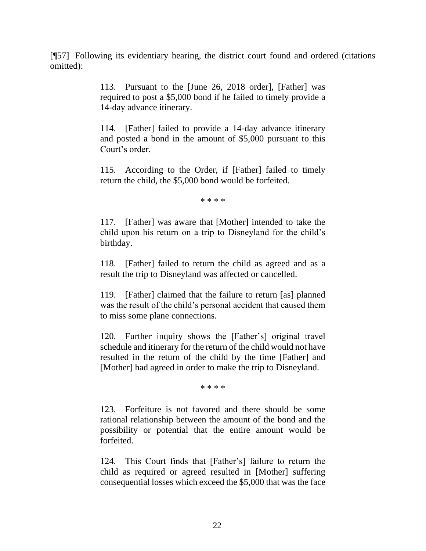[¶57] Following its evidentiary hearing, the district court found and ordered (citations omitted):

> 113. Pursuant to the [June 26, 2018 order], [Father] was required to post a \$5,000 bond if he failed to timely provide a 14-day advance itinerary.

> 114. [Father] failed to provide a 14-day advance itinerary and posted a bond in the amount of \$5,000 pursuant to this Court's order.

> 115. According to the Order, if [Father] failed to timely return the child, the \$5,000 bond would be forfeited.

> > \* \* \* \*

117. [Father] was aware that [Mother] intended to take the child upon his return on a trip to Disneyland for the child's birthday.

118. [Father] failed to return the child as agreed and as a result the trip to Disneyland was affected or cancelled.

119. [Father] claimed that the failure to return [as] planned was the result of the child's personal accident that caused them to miss some plane connections.

120. Further inquiry shows the [Father's] original travel schedule and itinerary for the return of the child would not have resulted in the return of the child by the time [Father] and [Mother] had agreed in order to make the trip to Disneyland.

\* \* \* \*

123. Forfeiture is not favored and there should be some rational relationship between the amount of the bond and the possibility or potential that the entire amount would be forfeited.

124. This Court finds that [Father's] failure to return the child as required or agreed resulted in [Mother] suffering consequential losses which exceed the \$5,000 that was the face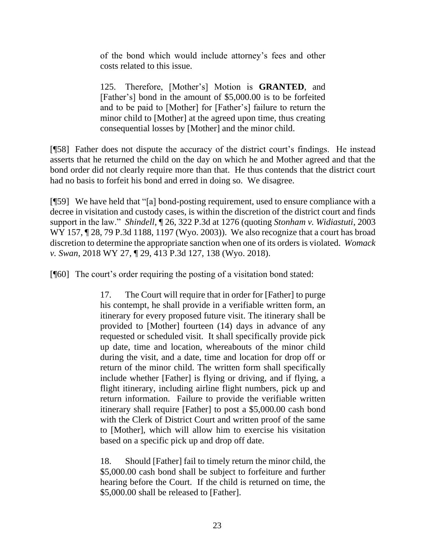of the bond which would include attorney's fees and other costs related to this issue.

125. Therefore, [Mother's] Motion is **GRANTED**, and [Father's] bond in the amount of \$5,000.00 is to be forfeited and to be paid to [Mother] for [Father's] failure to return the minor child to [Mother] at the agreed upon time, thus creating consequential losses by [Mother] and the minor child.

[¶58] Father does not dispute the accuracy of the district court's findings. He instead asserts that he returned the child on the day on which he and Mother agreed and that the bond order did not clearly require more than that. He thus contends that the district court had no basis to forfeit his bond and erred in doing so. We disagree.

[¶59] We have held that "[a] bond-posting requirement, used to ensure compliance with a decree in visitation and custody cases, is within the discretion of the district court and finds support in the law." *Shindell*, ¶ 26, 322 P.3d at 1276 (quoting *[Stonham v. Widiastuti](http://www.westlaw.com/Link/Document/FullText?findType=Y&serNum=2003894297&pubNum=0004645&originatingDoc=I9e08bb75ca5511e390d4edf60ce7d742&refType=RP&fi=co_pp_sp_4645_1197&originationContext=document&vr=3.0&rs=cblt1.0&transitionType=DocumentItem&contextData=(sc.History*oc.Search)#co_pp_sp_4645_1197)*, 2003 [WY 157, ¶ 28, 79 P.3d 1188, 1197 \(Wyo. 2003\)\)](http://www.westlaw.com/Link/Document/FullText?findType=Y&serNum=2003894297&pubNum=0004645&originatingDoc=I9e08bb75ca5511e390d4edf60ce7d742&refType=RP&fi=co_pp_sp_4645_1197&originationContext=document&vr=3.0&rs=cblt1.0&transitionType=DocumentItem&contextData=(sc.History*oc.Search)#co_pp_sp_4645_1197). We also recognize that a court has broad discretion to determine the appropriate sanction when one of its orders is violated. *Womack v. Swan*, 2018 WY 27, ¶ 29, 413 P.3d 127, 138 (Wyo. 2018).

[¶60] The court's order requiring the posting of a visitation bond stated:

17. The Court will require that in order for [Father] to purge his contempt, he shall provide in a verifiable written form, an itinerary for every proposed future visit. The itinerary shall be provided to [Mother] fourteen (14) days in advance of any requested or scheduled visit. It shall specifically provide pick up date, time and location, whereabouts of the minor child during the visit, and a date, time and location for drop off or return of the minor child. The written form shall specifically include whether [Father] is flying or driving, and if flying, a flight itinerary, including airline flight numbers, pick up and return information. Failure to provide the verifiable written itinerary shall require [Father] to post a \$5,000.00 cash bond with the Clerk of District Court and written proof of the same to [Mother], which will allow him to exercise his visitation based on a specific pick up and drop off date.

18. Should [Father] fail to timely return the minor child, the \$5,000.00 cash bond shall be subject to forfeiture and further hearing before the Court. If the child is returned on time, the \$5,000.00 shall be released to [Father].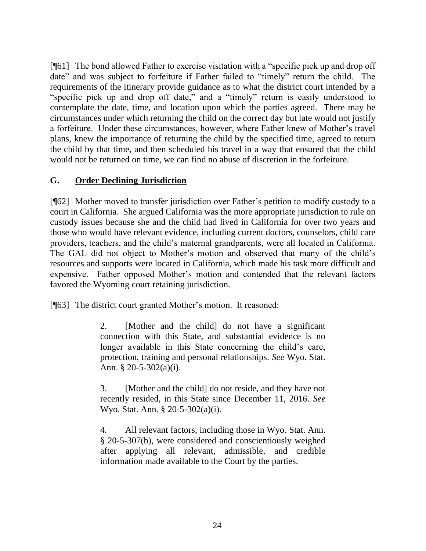[¶61] The bond allowed Father to exercise visitation with a "specific pick up and drop off date" and was subject to forfeiture if Father failed to "timely" return the child. The requirements of the itinerary provide guidance as to what the district court intended by a "specific pick up and drop off date," and a "timely" return is easily understood to contemplate the date, time, and location upon which the parties agreed. There may be circumstances under which returning the child on the correct day but late would not justify a forfeiture. Under these circumstances, however, where Father knew of Mother's travel plans, knew the importance of returning the child by the specified time, agreed to return the child by that time, and then scheduled his travel in a way that ensured that the child would not be returned on time, we can find no abuse of discretion in the forfeiture.

## **G. Order Declining Jurisdiction**

[¶62] Mother moved to transfer jurisdiction over Father's petition to modify custody to a court in California. She argued California was the more appropriate jurisdiction to rule on custody issues because she and the child had lived in California for over two years and those who would have relevant evidence, including current doctors, counselors, child care providers, teachers, and the child's maternal grandparents, were all located in California. The GAL did not object to Mother's motion and observed that many of the child's resources and supports were located in California, which made his task more difficult and expensive. Father opposed Mother's motion and contended that the relevant factors favored the Wyoming court retaining jurisdiction.

[¶63] The district court granted Mother's motion. It reasoned:

2. [Mother and the child] do not have a significant connection with this State, and substantial evidence is no longer available in this State concerning the child's care, protection, training and personal relationships. *See* Wyo. Stat. Ann. § 20-5-302(a)(i).

3. [Mother and the child] do not reside, and they have not recently resided, in this State since December 11, 2016. *See* Wyo. Stat. Ann. § 20-5-302(a)(i).

4. All relevant factors, including those in Wyo. Stat. Ann. § 20-5-307(b), were considered and conscientiously weighed after applying all relevant, admissible, and credible information made available to the Court by the parties.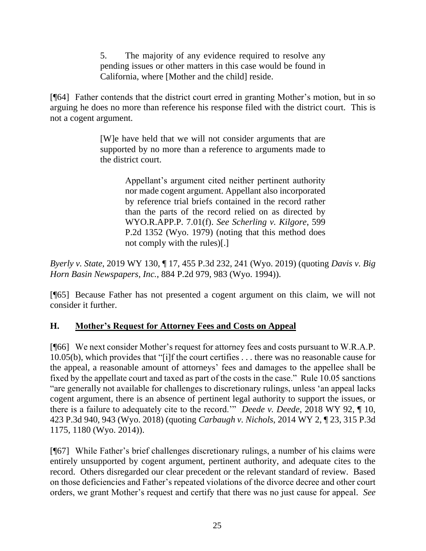5. The majority of any evidence required to resolve any pending issues or other matters in this case would be found in California, where [Mother and the child] reside.

[¶64] Father contends that the district court erred in granting Mother's motion, but in so arguing he does no more than reference his response filed with the district court. This is not a cogent argument.

> [W]e have held that we will not consider arguments that are supported by no more than a reference to arguments made to the district court.

> > Appellant's argument cited neither pertinent authority nor made cogent argument. Appellant also incorporated by reference trial briefs contained in the record rather than the parts of the record relied on as directed by [WYO.R.APP.P. 7.01\(f\).](http://www.westlaw.com/Link/Document/FullText?findType=L&pubNum=1008793&cite=WYRRAPR7.01&originatingDoc=I56c9ad00290e11eaac0ee4466ee51240&refType=LQ&originationContext=document&vr=3.0&rs=cblt1.0&transitionType=DocumentItem&contextData=(sc.Keycite)) *See [Scherling v. Kilgore](http://www.westlaw.com/Link/Document/FullText?findType=Y&serNum=1979125644&pubNum=0000661&originatingDoc=I56c9ad00290e11eaac0ee4466ee51240&refType=RP&originationContext=document&vr=3.0&rs=cblt1.0&transitionType=DocumentItem&contextData=(sc.Keycite))*, 599 [P.2d 1352 \(Wyo. 1979\)](http://www.westlaw.com/Link/Document/FullText?findType=Y&serNum=1979125644&pubNum=0000661&originatingDoc=I56c9ad00290e11eaac0ee4466ee51240&refType=RP&originationContext=document&vr=3.0&rs=cblt1.0&transitionType=DocumentItem&contextData=(sc.Keycite)) (noting that this method does not comply with the rules)[.]

*Byerly v. State*, 2019 WY 130, ¶ 17, 455 P.3d 232, 241 (Wyo. 2019) (quoting *[Davis v. Big](http://www.westlaw.com/Link/Document/FullText?findType=Y&serNum=1994230421&pubNum=0000661&originatingDoc=I56c9ad00290e11eaac0ee4466ee51240&refType=RP&fi=co_pp_sp_661_983&originationContext=document&vr=3.0&rs=cblt1.0&transitionType=DocumentItem&contextData=(sc.Keycite)#co_pp_sp_661_983)  Horn Basin Newspapers, Inc.*[, 884 P.2d 979, 983 \(Wyo. 1994\)\)](http://www.westlaw.com/Link/Document/FullText?findType=Y&serNum=1994230421&pubNum=0000661&originatingDoc=I56c9ad00290e11eaac0ee4466ee51240&refType=RP&fi=co_pp_sp_661_983&originationContext=document&vr=3.0&rs=cblt1.0&transitionType=DocumentItem&contextData=(sc.Keycite)#co_pp_sp_661_983).

[¶65] Because Father has not presented a cogent argument on this claim, we will not consider it further.

## **H. Mother's Request for Attorney Fees and Costs on Appeal**

[¶66] We next consider Mother's request for attorney fees and costs pursuant to W.R.A.P. 10.05(b), which provides that "[i]f the court certifies . . . there was no reasonable cause for the appeal, a reasonable amount of attorneys' fees and damages to the appellee shall be fixed by the appellate court and taxed as part of the costs in the case." Rule 10.05 sanctions "are generally not available for challenges to discretionary rulings, unless 'an appeal lacks cogent argument, there is an absence of pertinent legal authority to support the issues, or there is a failure to adequately cite to the record.'" *Deede v. Deede*, 2018 WY 92, ¶ 10, 423 P.3d 940, 943 (Wyo. 2018) (quoting *Carbaugh v. Nichols*[, 2014 WY 2, ¶ 23, 315 P.3d](http://www.westlaw.com/Link/Document/FullText?findType=Y&serNum=2032474976&pubNum=0004645&originatingDoc=I1b207830a00a11e888e382e865ea2ff8&refType=RP&fi=co_pp_sp_4645_1180&originationContext=document&vr=3.0&rs=cblt1.0&transitionType=DocumentItem&contextData=(sc.Keycite)#co_pp_sp_4645_1180)  [1175, 1180 \(Wyo. 2014\)\)](http://www.westlaw.com/Link/Document/FullText?findType=Y&serNum=2032474976&pubNum=0004645&originatingDoc=I1b207830a00a11e888e382e865ea2ff8&refType=RP&fi=co_pp_sp_4645_1180&originationContext=document&vr=3.0&rs=cblt1.0&transitionType=DocumentItem&contextData=(sc.Keycite)#co_pp_sp_4645_1180).

[¶67] While Father's brief challenges discretionary rulings, a number of his claims were entirely unsupported by cogent argument, pertinent authority, and adequate cites to the record. Others disregarded our clear precedent or the relevant standard of review. Based on those deficiencies and Father's repeated violations of the divorce decree and other court orders, we grant Mother's request and certify that there was no just cause for appeal. *See*